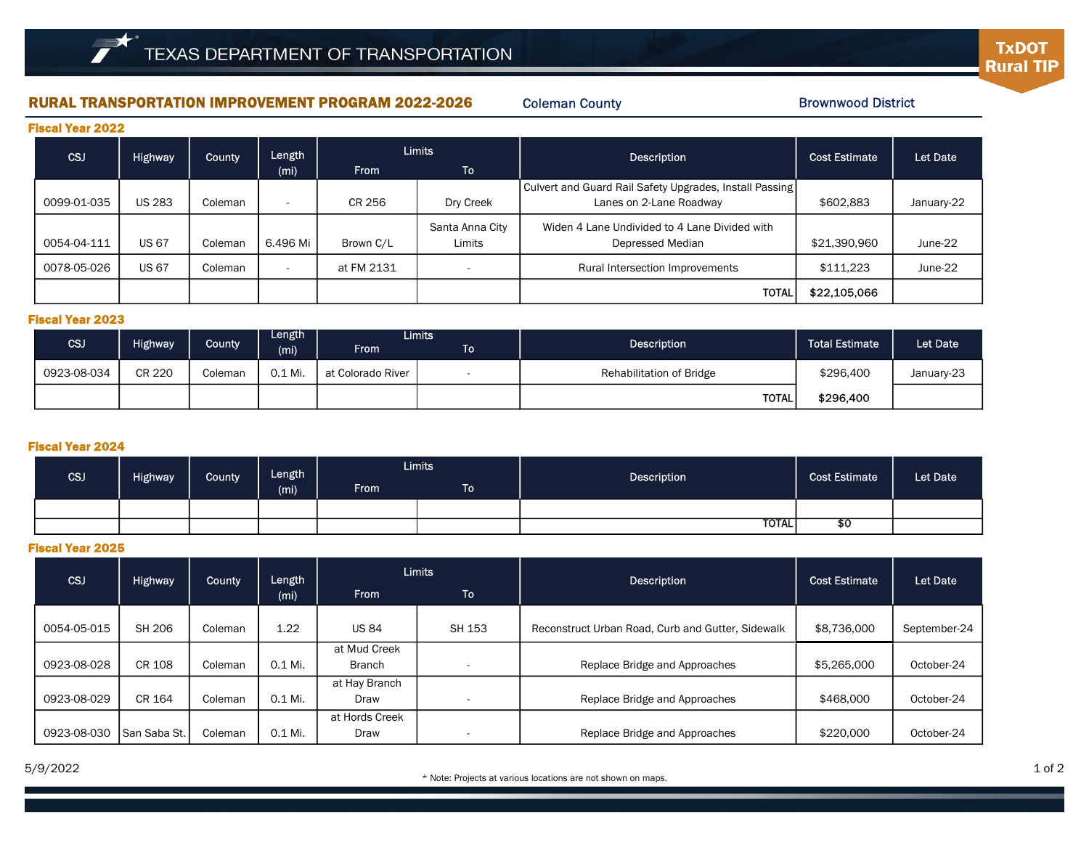# RURAL TRANSPORTATION IMPROVEMENT PROGRAM 2022-2026 Coleman County Brownwood District

Coleman County

| <b>Fiscal Year 2022</b> |                |               |                          |               |                           |                                                                                    |                      |            |  |  |  |
|-------------------------|----------------|---------------|--------------------------|---------------|---------------------------|------------------------------------------------------------------------------------|----------------------|------------|--|--|--|
| CSJ                     | <b>Highway</b> | <b>County</b> | Length                   | <b>Limits</b> |                           | <b>Description</b>                                                                 | <b>Cost Estimate</b> | Let Date   |  |  |  |
|                         |                |               | (mi)                     | <b>From</b>   | <b>To</b>                 |                                                                                    |                      |            |  |  |  |
| 0099-01-035             | <b>US 283</b>  | Coleman       |                          | CR 256        | Dry Creek                 | Culvert and Guard Rail Safety Upgrades, Install Passing<br>Lanes on 2-Lane Roadway | \$602,883            | January-22 |  |  |  |
| 0054-04-111             | <b>US 67</b>   | Coleman       | 6.496 Mi                 | Brown C/L     | Santa Anna City<br>Limits | Widen 4 Lane Undivided to 4 Lane Divided with<br>Depressed Median                  | \$21,390,960         | June-22    |  |  |  |
| 0078-05-026             | <b>US 67</b>   | Coleman       | $\overline{\phantom{a}}$ | at FM 2131    | $\overline{\phantom{0}}$  | Rural Intersection Improvements                                                    | \$111,223            | June-22    |  |  |  |
|                         |                |               |                          |               |                           | <b>TOTAL</b>                                                                       | \$22,105,066         |            |  |  |  |

### Fiscal Year 2023

| CSJ         | Highway       | <b>County</b> | Length<br>(mi) | <b>From</b>       | <b>Limits</b><br>To | <b>Description</b>       | Total Estimate <sup>1</sup> | Let Date   |
|-------------|---------------|---------------|----------------|-------------------|---------------------|--------------------------|-----------------------------|------------|
| 0923-08-034 | <b>CR 220</b> | Coleman       | 0.1 Mi.        | at Colorado River |                     | Rehabilitation of Bridge | \$296,400                   | January-23 |
|             |               |               |                |                   |                     | TOTAL.                   | \$296,400                   |            |

### Fiscal Year 2024

| <b>CSJ</b> | <b>Highway</b> | County | Length<br>(m <sub>i</sub> ) | <b>Limits</b> |             | Description | <b>Cost Estimate</b> | Let Date |
|------------|----------------|--------|-----------------------------|---------------|-------------|-------------|----------------------|----------|
|            |                |        |                             | <b>From</b>   | To <b>I</b> |             |                      |          |
|            |                |        |                             |               |             |             |                      |          |
|            |                |        |                             |               |             | TOTAL       | \$0                  |          |

# Fiscal Year 2025

| <b>CSJ</b>  | <b>Highway</b> | <b>County</b> | Length  | <b>Limits</b>  |                          | <b>Description</b>                                | <b>Cost Estimate</b> | Let Date     |
|-------------|----------------|---------------|---------|----------------|--------------------------|---------------------------------------------------|----------------------|--------------|
|             |                |               | (mi)    | <b>From</b>    | <b>To</b>                |                                                   |                      |              |
| 0054-05-015 | SH 206         | Coleman       | 1.22    | <b>US 84</b>   | SH 153                   | Reconstruct Urban Road, Curb and Gutter, Sidewalk | \$8,736,000          | September-24 |
|             |                |               |         | at Mud Creek   |                          |                                                   |                      |              |
| 0923-08-028 | CR 108         | Coleman       | 0.1 Mi. | <b>Branch</b>  | $\overline{\phantom{a}}$ | Replace Bridge and Approaches                     | \$5,265,000          | October-24   |
|             |                |               |         | at Hay Branch  |                          |                                                   |                      |              |
| 0923-08-029 | CR 164         | Coleman       | 0.1 Mi. | Draw           |                          | Replace Bridge and Approaches                     | \$468,000            | October-24   |
|             |                |               |         | at Hords Creek |                          |                                                   |                      |              |
| 0923-08-030 | l San Saba St. | Coleman       | 0.1 Mi. | Draw           | $\overline{\phantom{0}}$ | Replace Bridge and Approaches                     | \$220,000            | October-24   |

**TxDOT Rural TIP**